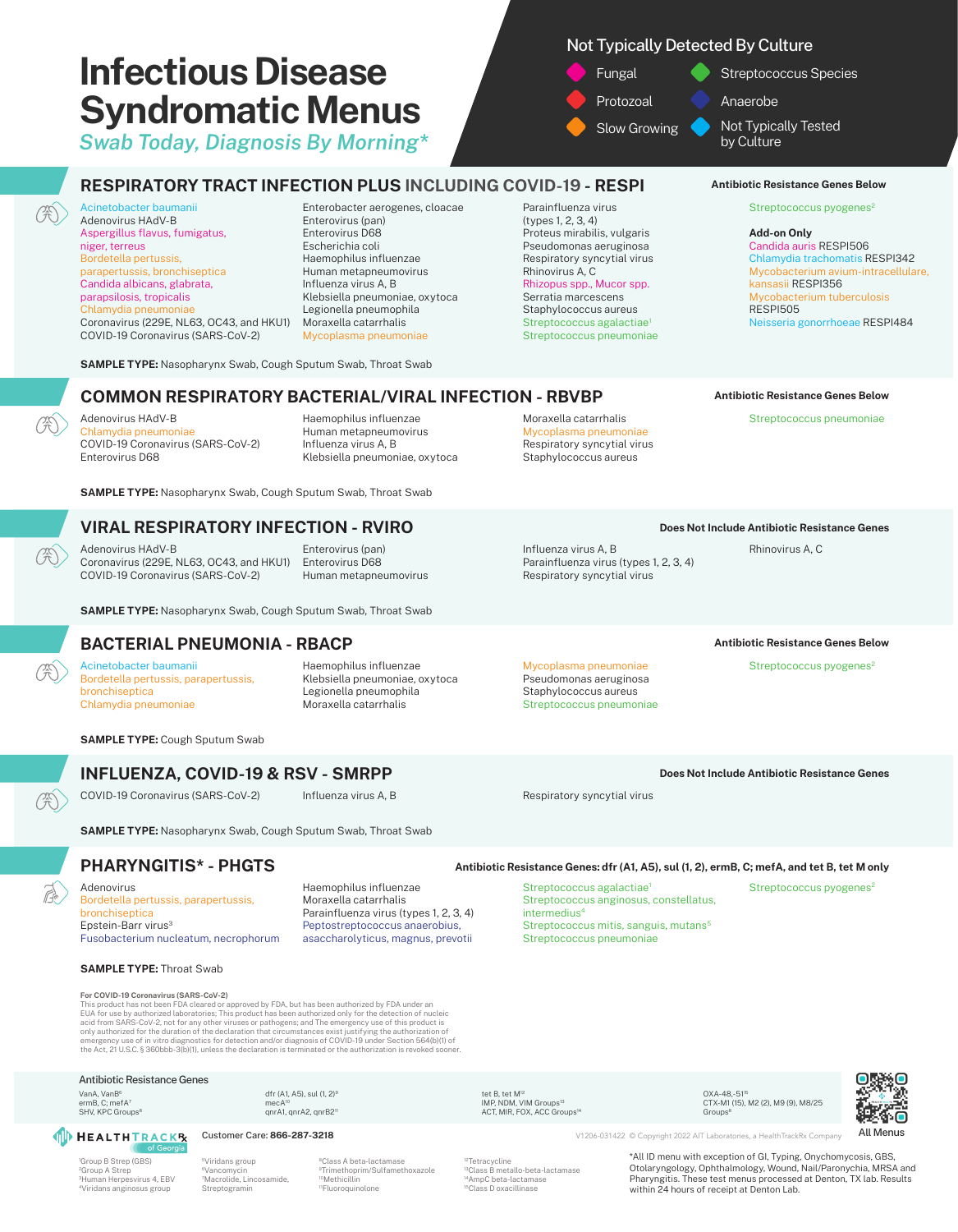*Swab Today, Diagnosis By Morning\**

## Not Typically Detected By Culture



Streptococcus Species

Anaerobe

Not Typically Tested by Culture

## **RESPIRATORY TRACT INFECTION PLUS INCLUDING COVID-19 - RESPI**

Acinetobacter baumanii Adenovirus HAdV-B Aspergillus flavus, fumigatus, niger, terreus Bordetella pertussis, parapertussis, bronchiseptica Candida albicans, glabrata, parapsilosis, tropicalis Chlamydia pneumoniae Coronavirus (229E, NL63, OC43, and HKU1) COVID-19 Coronavirus (SARS-CoV-2)

 $(\frac{20}{2})$ 

 $\mathscr{C}(\widetilde{\mathscr{H}})$ 

 $\mathbb{C}(\mathbb{R})$ 

Enterobacter aerogenes, cloacae Enterovirus (pan) Enterovirus D68 Escherichia coli Haemophilus influenzae Human metapneumovirus Influenza virus A, B Klebsiella pneumoniae, oxytoca Legionella pneumophila Moraxella catarrhalis Mycoplasma pneumoniae

Parainfluenza virus (types 1, 2, 3, 4) Proteus mirabilis, vulgaris Pseudomonas aeruginosa Respiratory syncytial virus Rhinovirus A, C Rhizopus spp., Mucor spp. Serratia marcescens Staphylococcus aureus Streptococcus agalactiae<sup>1</sup> Streptococcus pneumoniae

### **Antibiotic Resistance Genes Below**

**Antibiotic Resistance Genes Below**

Streptococcus pneumoniae

Streptococcus pyogenes<sup>2</sup>

#### **Add-on Only**

Candida auris RESPI506 Chlamydia trachomatis RESPI342 Mycobacterium avium-intracellulare, kansasii RESPI356 Mycobacterium tuberculosis RESPI505 Neisseria gonorrhoeae RESPI484

**SAMPLE TYPE:** Nasopharynx Swab, Cough Sputum Swab, Throat Swab

## **COMMON RESPIRATORY BACTERIAL/VIRAL INFECTION - RBVBP**

Adenovirus HAdV-B Chlamydia pneumoniae COVID-19 Coronavirus (SARS-CoV-2) Enterovirus D68

Haemophilus influenzae Human metapneumovirus Influenza virus A, B Klebsiella pneumoniae, oxytoca

**SAMPLE TYPE:** Nasopharynx Swab, Cough Sputum Swab, Throat Swab

## **VIRAL RESPIRATORY INFECTION - RVIRO**

Adenovirus HAdV-B Coronavirus (229E, NL63, OC43, and HKU1) COVID-19 Coronavirus (SARS-CoV-2)

**SAMPLE TYPE:** Nasopharynx Swab, Cough Sputum Swab, Throat Swab

## **BACTERIAL PNEUMONIA - RBACP**

Acinetobacter baumanii Bordetella pertussis, parapertussis, bronchiseptica Chlamydia pneumoniae

Haemophilus influenzae Klebsiella pneumoniae, oxytoca Legionella pneumophila Moraxella catarrhalis

**SAMPLE TYPE:** Cough Sputum Swab

## **INFLUENZA, COVID-19 & RSV - SMRPP**

COVID-19 Coronavirus (SARS-CoV-2)

Influenza virus A, B

**Antibiotic Resistance Genes Below** Streptococcus pyogenes<sup>2</sup>

Mycoplasma pneumoniae Pseudomonas aeruginosa Staphylococcus aureus Streptococcus pneumoniae

**Does Not Include Antibiotic Resistance Genes**

Rhinovirus A, C

**Does Not Include Antibiotic Resistance Genes**

Respiratory syncytial virus

Streptococcus agalactiae<sup>1</sup>

intermedius4

Streptococcus anginosus, constellatus,

Streptococcus mitis, sanguis, mutans<sup>5</sup> Streptococcus pneumoniae

Streptococcus pyogenes<sup>2</sup>

**SAMPLE TYPE:** Nasopharynx Swab, Cough Sputum Swab, Throat Swab

**PHARYNGITIS\* - PHGTS**

Adenovirus Bordetella pertussis, parapertussis, bronchiseptica Epstein-Barr virus3 Fusobacterium nucleatum, necrophorum

**SAMPLE TYPE:** Throat Swab

#### **For COVID-19 Coronavirus (SARS-CoV-2)**

This product has not been FDA cleared or approved by FDA, but has been authorized by FDA under an<br>EUA for use by authorized laboratories; This product has been authorized only for the detection of nucleic<br>acid from SARS-Co emergency use of in vitro diagnostics for detection and/or diagnosis of COVID-19 under Section 564(b)(1) of the Act, 21 U.S.C. § 360bbb-3(b)(1), unless the declaration is terminated or the authorization is revoked sooner.

#### Antibiotic Resistance Genes

VanA, VanB<sup>6</sup> ermB, C; mefA<sup>7</sup> smile, e, membre<br>SHV, KPC Groups<sup>8</sup>

### dfr (A1, A5), sul (1, 2)<sup>9</sup> mecA<sup>10</sup><br>qnrA1, qnrA2, qnrB2''

**ID HEALTHTRACKR** 

1 Group B Strep (GBS) 2Group A Strep 3Human Herpesvirus 4, EBV 4Viridans anginosus group

5Viridans group 6Vancomycin 7Macrolide, Lincosamide, Streptogramin

8Class A beta-lactamase <sup>9</sup>Trimethoprim/Sulfamethoxazole <sup>0</sup>Methicillin 11Fluoroquinolone

tet B, tet M<sup>12</sup> IMP, NDM, VIM Groups<sup>13</sup><br>ACT, MIR, FOX, ACC Groups<sup>14</sup>

<sup>12</sup>Tetracycline<br><sup>13</sup>Class B metallo-beta-lactamase 14AmpC beta-lactamase 15Class D oxacillinase

OXA-48,-51<sup>15</sup> CTX-M1 (15), M2 (2), M9 (9), M8/25<br>Groups<sup>8</sup>

Customer Care: 866-287-3218 **Variable 2022 AIT Laboratories**, a Health TrackRx Company **All Menus** 

\*All ID menu with exception of GI, Typing, Onychomycosis, GBS, Otolaryngology, Ophthalmology, Wound, Nail/Paronychia, MRSA and Pharyngitis. These test menus processed at Denton, TX lab. Results within 24 hours of receipt at Denton Lab.

**Antibiotic Resistance Genes: dfr (A1, A5), sul (1, 2), ermB, C; mefA, and tet B, tet M only**

Influenza virus A, B

Moraxella catarrhalis Mycoplasma pneumoniae Respiratory syncytial virus Staphylococcus aureus

Parainfluenza virus (types 1, 2, 3, 4) Respiratory syncytial virus

Haemophilus influenzae Moraxella catarrhalis

Parainfluenza virus (types 1, 2, 3, 4) Peptostreptococcus anaerobius, asaccharolyticus, magnus, prevotii

Enterovirus (pan) Enterovirus D68 Human metapneumovirus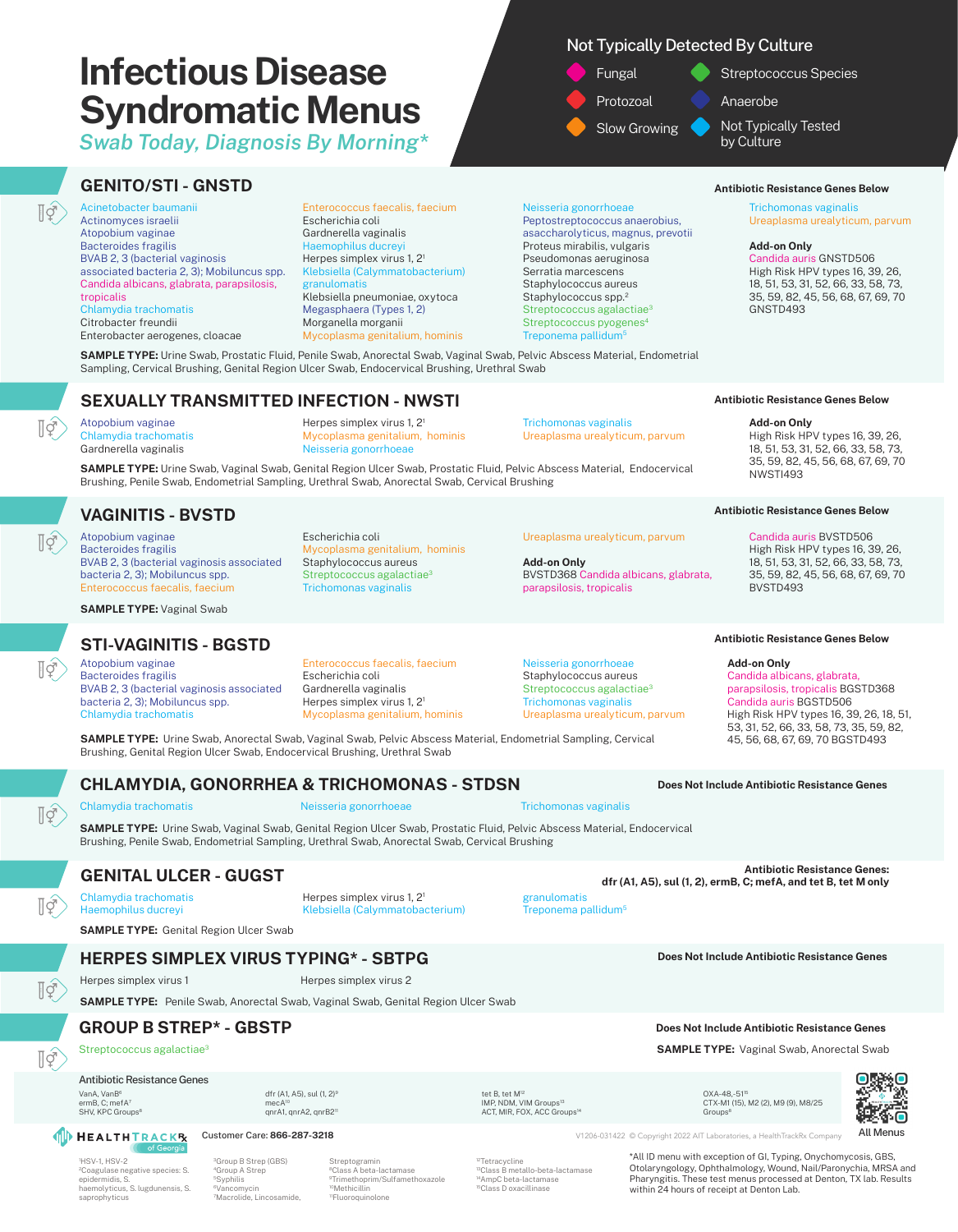*Swab Today, Diagnosis By Morning\**

## **GENITO/STI - GNSTD**

 $\ket{\phi}$ 

 $\overline{\mathbb{F}}$ g $\overline{\mathbb{F}}$ 

 $\ket{\phi}$ 

 $\ket{\phi}$ 

 $\overline{\mathbb{F}}$ g $\overline{\mathbb{F}}$ 

 $\ket{\phi}$ 

 $\P\overline{Q}$ 

 $\overline{\mathbb{F}}$ 

Acinetobacter baumanii Actinomyces israelii Atopobium vaginae Bacteroides fragilis BVAB 2, 3 (bacterial vaginosis associated bacteria 2, 3); Mobiluncus spp. Candida albicans, glabrata, parapsilosis, tropicalis Chlamydia trachomatis Citrobacter freundii Enterobacter aerogenes, cloacae

#### Enterococcus faecalis, faecium Escherichia coli Gardnerella vaginalis Haemophilus ducrey Herpes simplex virus 1, 21 Klebsiella (Calymmatobacterium) granulomatis Klebsiella pneumoniae, oxytoca Megasphaera (Types 1, 2) Morganella morganii Mycoplasma genitalium, hominis

## Not Typically Detected By Culture



### **Antibiotic Resistance Genes Below**

Trichomonas vaginalis Ureaplasma urealyticum, parvum

#### **Add-on Only**

Candida auris GNSTD506 High Risk HPV types 16, 39, 26, 18, 51, 53, 31, 52, 66, 33, 58, 73, 35, 59, 82, 45, 56, 68, 67, 69, 70 GNSTD493

**SAMPLE TYPE:** Urine Swab, Prostatic Fluid, Penile Swab, Anorectal Swab, Vaginal Swab, Pelvic Abscess Material, Endometrial Sampling, Cervical Brushing, Genital Region Ulcer Swab, Endocervical Brushing, Urethral Swab

## **SEXUALLY TRANSMITTED INFECTION - NWSTI**

Atopobium vaginae Chlamydia trachomatis Gardnerella vaginalis

Herpes simplex virus 1, 21 Mycoplasma genitalium, hominis Neisseria gonorrhoeae

Trichomonas vaginalis Ureaplasma urealyticum, parvum

Neisseria gonorrhoeae Peptostreptococcus anaerobius, asaccharolyticus, magnus, prevotii Proteus mirabilis, vulgaris Pseudomonas aeruginosa Serratia marcescens Staphylococcus aureus Staphylococcus spp.<sup>2</sup> Streptococcus agalactiae<sup>3</sup> Streptococcus pyogenes<sup>4</sup> Treponema pallidum<sup>5</sup>

**SAMPLE TYPE:** Urine Swab, Vaginal Swab, Genital Region Ulcer Swab, Prostatic Fluid, Pelvic Abscess Material, Endocervical Brushing, Penile Swab, Endometrial Sampling, Urethral Swab, Anorectal Swab, Cervical Brushing

## **VAGINITIS - BVSTD**

Atopobium vaginae Bacteroides fragilis BVAB 2, 3 (bacterial vaginosis associated bacteria 2, 3); Mobiluncus spp. Enterococcus faecalis, faecium **SAMPLE TYPE:** Vaginal Swab

BVAB 2, 3 (bacterial vaginosis associated bacteria 2, 3); Mobiluncus spp. Chlamydia trachomatis

**STI-VAGINITIS - BGSTD**

Escherichia coli olasma genitalium, hominis Staphylococcus aureus Streptococcus agalactiae<sup>3</sup> Trichomonas vaginalis

Enterococcus faecalis, faecium

**SAMPLE TYPE:** Urine Swab, Anorectal Swab, Vaginal Swab, Pelvic Abscess Material, Endometrial Sampling, Cervical

Ureaplasma urealyticum, parvum

**Add-on Only** BVSTD368 Candida albicans, glabrata, parapsilosis, tropicalis

**Antibiotic Resistance Genes Below**

### **Add-on Only**

High Risk HPV types 16, 39, 26, 18, 51, 53, 31, 52, 66, 33, 58, 73, 35, 59, 82, 45, 56, 68, 67, 69, 70 NWSTI493

### **Antibiotic Resistance Genes Below**

Candida auris BVSTD506 High Risk HPV types 16, 39, 26, 18, 51, 53, 31, 52, 66, 33, 58, 73, 35, 59, 82, 45, 56, 68, 67, 69, 70 BVSTD493

#### **Antibiotic Resistance Genes Below**

**Add-on Only** Candida albicans, glabrata, parapsilosis, tropicalis BGSTD368 Candida auris BGSTD506 High Risk HPV types 16, 39, 26, 18, 51, 53, 31, 52, 66, 33, 58, 73, 35, 59, 82, 45, 56, 68, 67, 69, 70 BGSTD493

Atopobium vaginae Bacteroides fragilis

Escherichia coli Gardnerella vaginalis Herpes simplex virus 1, 21 Mycoplasma genitalium, hominis

**CHLAMYDIA, GONORRHEA & TRICHOMONAS - STDSN**

Brushing, Genital Region Ulcer Swab, Endocervical Brushing, Urethral Swab

Chlamydia trachomatis Neisseria gonorrhoeae Trichomonas vaginalis

**SAMPLE TYPE:** Urine Swab, Vaginal Swab, Genital Region Ulcer Swab, Prostatic Fluid, Pelvic Abscess Material, Endocervical Brushing, Penile Swab, Endometrial Sampling, Urethral Swab, Anorectal Swab, Cervical Brushing

Chlamydia trachomatis Haemophilus ducreyi

**SAMPLE TYPE:** Genital Region Ulcer Swab

## **HERPES SIMPLEX VIRUS TYPING\* - SBTPG**

Herpes simplex virus 1 Herpes simplex virus 2

Herpes simplex virus 1, 21 Klebsiella (Calymmatobacterium)

**SAMPLE TYPE:** Penile Swab, Anorectal Swab, Vaginal Swab, Genital Region Ulcer Swab

## **GROUP B STREP\* - GBSTP**

Streptococcus agalactiae<sup>3</sup>

Antibiotic Resistance Genes

VanA, VanB6 ermB, C; mefA<sup>7</sup> smile, e, membre<br>SHV, KPC Groups<sup>8</sup>

**ID HEALTHTRACKR** 

dfr (A1, A5), sul (1, 2)<sup>9</sup> mecA<sup>10</sup><br>qnrA1, qnrA2, qnrB2''

tet B, tet M12 IMP, NDM, VIM Groups<sup>13</sup><br>ACT, MIR, FOX, ACC Groups<sup>14</sup>



68 О

Customer Care: 866-287-3218 **Variable 2022 AIT Laboratories**, a Health TrackRx Company **All Menus** 

\*All ID menu with exception of GI, Typing, Onychomycosis, GBS, Otolaryngology, Ophthalmology, Wound, Nail/Paronychia, MRSA and Pharyngitis. These test menus processed at Denton, TX lab. Results within 24 hours of receipt at Denton Lab.

1 HSV-1, HSV-2 2Coagulase negative species: S. epidermidis, S. haemolyticus, S. lugdunensis, S. saprophyticus

3Group B Strep (GBS) 4Group A Strep **Syphilis** 6Vancomycin 7Macrolide, Lincosamide,

Streptogramin 8Class A beta-lactamase <sup>9</sup>Trimethoprim/Sulfamethoxazole 10Methicillin 11Fluoroquinolone

<sup>12</sup>Tetracycline<br><sup>13</sup>Class B metallo-beta-lactamase

14AmpC beta-lactamase <sup>5</sup>Class D oxacillinase

granulomatis Treponema pallidum<sup>6</sup>

Neisseria gonorrhoeae Staphylococcus aureus Streptococcus agalactiae<sup>3</sup> Trichomonas vaginalis Ureaplasma urealyticum, parvum

**Does Not Include Antibiotic Resistance Genes**

Antibiotic Resistance Genes:<br>Antibiotic Resistance Genes:<br>Afr (A1, A5) sul (1, 2) erm R, C; mefA, and tet B, tet Monly **dfr (A1, A5), sul (1, 2), ermB, C; mefA, and tet B, tet M only**

**Does Not Include Antibiotic Resistance Genes**

**SAMPLE TYPE:** Vaginal Swab, Anorectal Swab **Does Not Include Antibiotic Resistance Genes**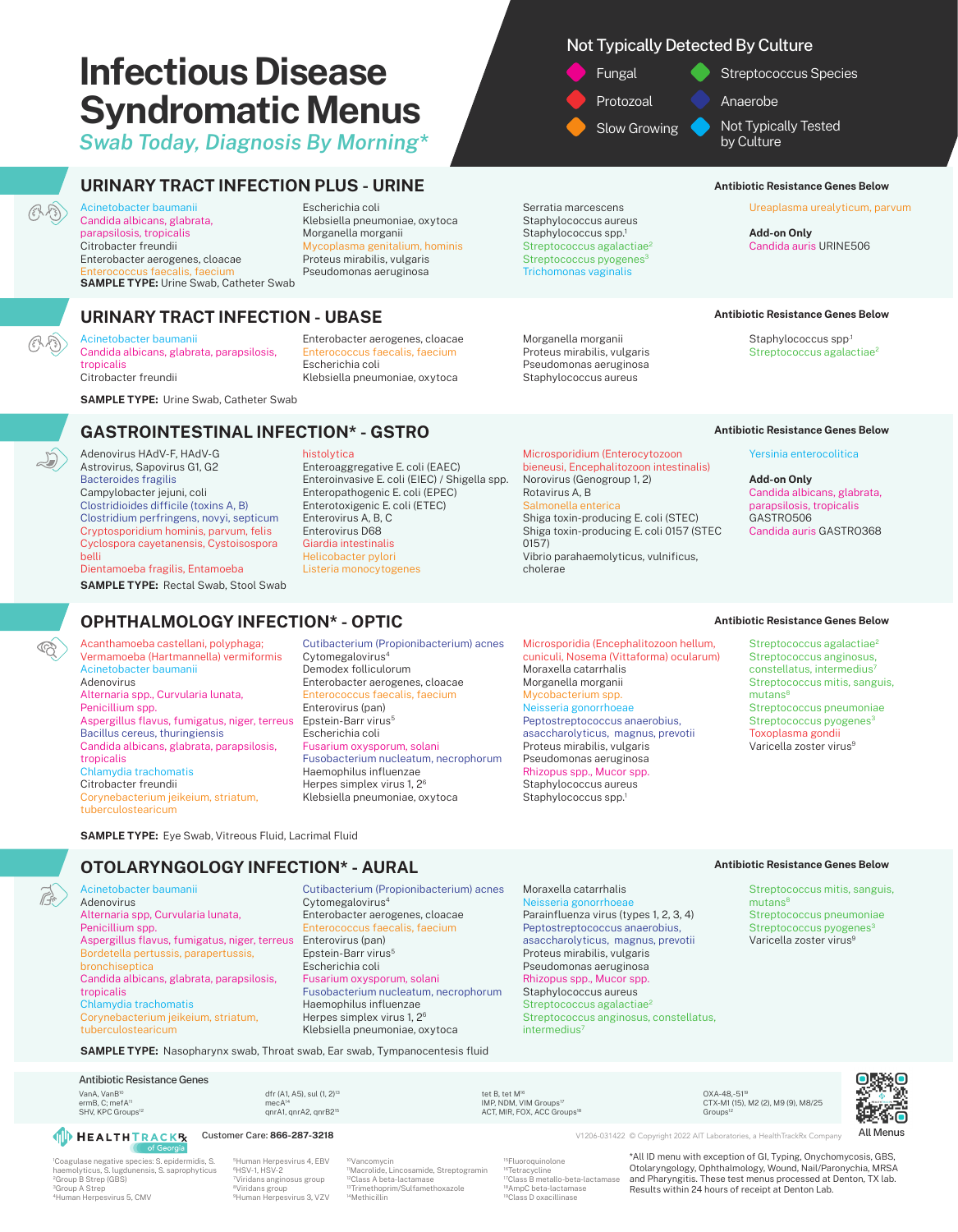*Swab Today, Diagnosis By Morning\**

## **URINARY TRACT INFECTION PLUS - URINE Antibiotic Resistance Genes Below Antibiotic Resistance Genes Below**

Acinetobacter baumanii Candida albicans, glabrata, parapsilosis, tropicalis Citrobacter freundii Enterobacter aerogenes, cloacae Enterococcus faecalis, faecium **SAMPLE TYPE:** Urine Swab, Catheter Swab

#### Escherichia coli Klebsiella pneumoniae, oxytoca Morganella morganii nitalium, hominis Proteus mirabilis, vulgaris Pseudomonas aeruginosa

## **URINARY TRACT INFECTION - UBASE**

#### Acinetobacter baumanii Candida albicans, glabrata, parapsilosis, tropicalis Citrobacter freundii

Enterobacter aerogenes, cloacae cus faecalis, faecium Escherichia coli Klebsiella pneumoniae, oxytoca

Enteroaggregative E. coli (EAEC) Enteroinvasive E. coli (EIEC) / Shigella spp. Enteropathogenic E. coli (EPEC) Enterotoxigenic E. coli (ETEC) Enterovirus A, B, C Enterovirus D68 Giardia intestinalis Helicobacter pylori Listeria monocytogenes

histolytica

**SAMPLE TYPE:** Urine Swab, Catheter Swab

## **GASTROINTESTINAL INFECTION\* - GSTRO**

Adenovirus HAdV-F, HAdV-G Astrovirus, Sapovirus G1, G2 Bacteroides fragilis Campylobacter jejuni, coli Clostridioides difficile (toxins A, B) Clostridium perfringens, novyi, septicum Cryptosporidium hominis, parvum, felis Cyclospora cayetanensis, Cystoisospora belli Dientamoeba fragilis, Entamoeba

**SAMPLE TYPE:** Rectal Swab, Stool Swab

## **OPHTHALMOLOGY INFECTION\* - OPTIC**

Acanthamoeba castellani, polyphaga; Vermamoeba (Hartmannella) vermiformis Acinetobacter baumanii Adenovirus Alternaria spp., Curvularia lunata, Penicillium spp. Aspergillus flavus, fumigatus, niger, terreus Bacillus cereus, thuringiensis Candida albicans, glabrata, parapsilosis, tropicalis Chlamydia trachomatis Citrobacter freundii Corynebacterium jeikeium, striatum, tuberculostearicum

Cutibacterium (Propionibacterium) acnes Cytomegalovirus4 Demodex folliculorum Enterobacter aerogenes, cloacae Enterococcus faecalis, faecium Enterovirus (pan) Epstein-Barr virus<sup>5</sup> Escherichia coli Fusarium oxysporum, solani Fusobacterium nucleatum, necrophorum Haemophilus influenzae Herpes simplex virus 1, 26 Klebsiella pneumoniae, oxytoca

# Not Typically Detected By Culture

Fungal Protozoal Slow Growing

Serratia marcescens Staphylococcus aureus Staphylococcus spp.<sup>1</sup> Streptococcus agalactiae<sup>2</sup> Streptococcus pyogenes<sup>3</sup> Trichomonas vaginalis

Morganella morganii Proteus mirabilis, vulgaris Pseudomonas aeruginosa Staphylococcus aureus

Microsporidium (Enterocytozoon bieneusi, Encephalitozoon intestinalis)

Shiga toxin-producing E. coli (STEC) Shiga toxin-producing E. coli 0157 (STEC

Vibrio parahaemolyticus, vulnificus,

Microsporidia (Encephalitozoon hellum, cuniculi, Nosema (Vittaforma) ocularum)

Moraxella catarrhalis Morganella morganii Mycobacterium spp. Neisseria gonorrhoeae Peptostreptococcus anaerobius, asaccharolyticus, magnus, prevotii Proteus mirabilis, vulgaris Pseudomonas aeruginosa Rhizopus spp., Mucor spp. Staphylococcus aureus Staphylococcus spp.<sup>1</sup>

Norovirus (Genogroup 1, 2)

Rotavirus A, B Salmonella enterica

0157)

cholerae

Streptococcus Species

- Anaerobe
- Not Typically Tested by Culture

Ureaplasma urealyticum, parvum

**Add-on Only** Candida auris URINE506

#### **Antibiotic Resistance Genes Below**

Staphylococcus spp.1 Streptococcus agalactiae<sup>2</sup>

### **Antibiotic Resistance Genes Below**

Yersinia enterocolitica

**Add-on Only** Candida albicans, glabrata, parapsilosis, tropicalis GASTRO506 Candida auris GASTRO368

#### **Antibiotic Resistance Genes Below**

Streptococcus agalactiae<sup>2</sup> Streptococcus anginosus, constellatus, intermedius<sup>7</sup> Streptococcus mitis, sanguis, mutans<sup>8</sup> Streptococcus pneumoniae Streptococcus pyogenes<sup>3</sup> Toxoplasma gondii Varicella zoster virus<sup>9</sup>

**SAMPLE TYPE:** Eye Swab, Vitreous Fluid, Lacrimal Fluid

## **OTOLARYNGOLOGY INFECTION\* - AURAL**

Acinetobacter baumanii Adenovirus Alternaria spp, Curvularia lunata, Penicillium spp. Aspergillus flavus, fumigatus, niger, terreus Enterovirus (pan) Bordetella pertussis, parapertussis, bronchiseptica Candida albicans, glabrata, parapsilosis, tropicalis Chlamydia trachomatis Corynebacterium jeikeium, striatum, tuberculostearicum

Cytomegalovirus4 Enterobacter aerogenes, cloacae terococcus faecalis, faecium Epstein-Barr virus<sup>5</sup> Escherichia coli Fusarium oxysporum, solani Fusobacterium nucleatum, necrophorum Haemophilus influenzae Herpes simplex virus 1, 26 Klebsiella pneumoniae, oxytoca

Streptococcus anginosus, constellatus,

### **Antibiotic Resistance Genes Below**

Streptococcus mitis, sanguis, mutans<sup>8</sup> Streptococcus pneumoniae Streptococcus pyogenes<sup>3</sup> Varicella zoster virus<sup>9</sup>

**SAMPLE TYPE:** Nasopharynx swab, Throat swab, Ear swab, Tympanocentesis fluid

dfr (A1, A5), sul (1, 2)13 mecA14<br>qnrA1, qnrA2, qnrB215

#### Antibiotic Resistance Genes

VanA, VanB10 ermB, C; mefA''<br>SHV, KPC Groups'<sup>2</sup>

**ID HEALTHTRACKR** 

1 Coagulase negative species: S. epidermidis, S. haemolyticus, S. lugdunensis, S. saprophyticus 2Group B Strep (GBS) 3Group A Strep 4Human Herpesvirus 5, CMV

5Human Herpesvirus 4, EBV 6HSV-1, HSV-2 7Viridans anginosus group 8Viridans group 9Human Herpesvirus 3, VZV

10Vancomycin 11Macrolide, Lincosamide, Streptogramin <sup>2</sup>Class A beta-lactamase <sup>13</sup>Trimethoprim/Sulfamethoxazole 14Methicillin

tet B, tet M16 IMP, NDM, VIM Groups<sup>17</sup><br>ACT, MIR, FOX, ACC Groups<sup>18</sup> OXA-48,-51<sup>19</sup> CTX-M1 (15), M2 (2), M9 (9), M8/25<br>Groups<sup>12</sup>

Customer Care: 866-287-3218 **V1206-031422 © Copyright 2022 AIT Laboratories**, a HealthTrackRx Company **All Menus** 

15Fluoroquinolone Tetracycline 17Class B metallo-beta-lactamase 18AmpC beta-lactamase 19Class D oxacillinase

\*All ID menu with exception of GI, Typing, Onychomycosis, GBS, Otolaryngology, Ophthalmology, Wound, Nail/Paronychia, MRSA and Pharyngitis. These test menus processed at Denton, TX lab. Results within 24 hours of receipt at Denton Lab.

Cutibacterium (Propionibacterium) acnes Moraxella catarrhalis Neisseria gonorr Parainfluenza virus (types 1, 2, 3, 4) Peptostreptococcus anaerobius, asaccharolyticus, magnus, prevotii Proteus mirabilis, vulgaris Pseudomonas aeruginosa Rhizopus spp., Mucor spp. Staphylococcus aureus Streptococcus agalactiae<sup>2</sup> intermedius<sup>7</sup>

 $(3, 5)$ 

 $\bigcup$ 

 $\bigotimes$ 

Á